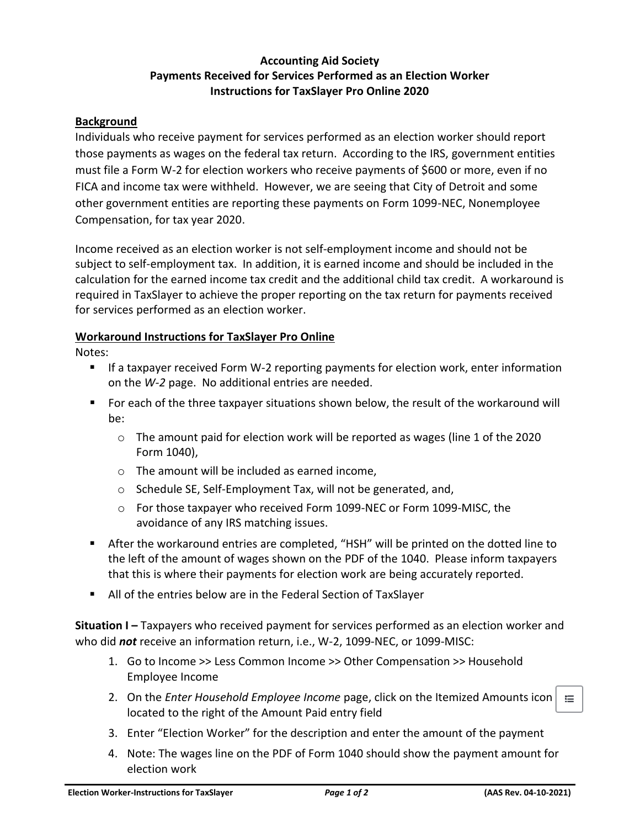## **Accounting Aid Society Payments Received for Services Performed as an Election Worker Instructions for TaxSlayer Pro Online 2020**

## **Background**

Individuals who receive payment for services performed as an election worker should report those payments as wages on the federal tax return. According to the IRS, government entities must file a Form W-2 for election workers who receive payments of \$600 or more, even if no FICA and income tax were withheld. However, we are seeing that City of Detroit and some other government entities are reporting these payments on Form 1099-NEC, Nonemployee Compensation, for tax year 2020.

Income received as an election worker is not self-employment income and should not be subject to self-employment tax. In addition, it is earned income and should be included in the calculation for the earned income tax credit and the additional child tax credit. A workaround is required in TaxSlayer to achieve the proper reporting on the tax return for payments received for services performed as an election worker.

## **Workaround Instructions for TaxSlayer Pro Online**

Notes:

- **If a taxpayer received Form W-2 reporting payments for election work, enter information** on the *W-2* page. No additional entries are needed.
- For each of the three taxpayer situations shown below, the result of the workaround will be:
	- $\circ$  The amount paid for election work will be reported as wages (line 1 of the 2020 Form 1040),
	- o The amount will be included as earned income,
	- o Schedule SE, Self-Employment Tax, will not be generated, and,
	- o For those taxpayer who received Form 1099-NEC or Form 1099-MISC, the avoidance of any IRS matching issues.
- **EXECT** After the workaround entries are completed, "HSH" will be printed on the dotted line to the left of the amount of wages shown on the PDF of the 1040. Please inform taxpayers that this is where their payments for election work are being accurately reported.
- All of the entries below are in the Federal Section of TaxSlayer

**Situation I** – Taxpayers who received payment for services performed as an election worker and who did *not* receive an information return, i.e., W-2, 1099-NEC, or 1099-MISC:

- 1. Go to Income >> Less Common Income >> Other Compensation >> Household Employee Income
- 2. On the *Enter Household Employee Income* page, click on the Itemized Amounts icon located to the right of the Amount Paid entry field
- 3. Enter "Election Worker" for the description and enter the amount of the payment
- 4. Note: The wages line on the PDF of Form 1040 should show the payment amount for election work